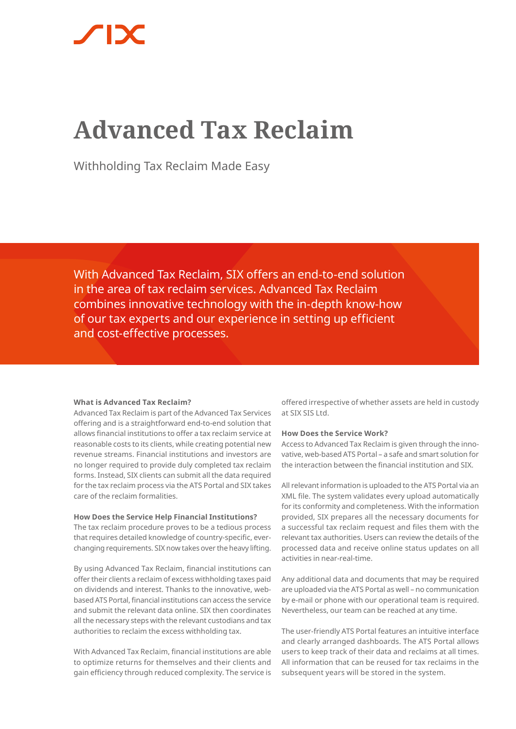# **Advanced Tax Reclaim**

Withholding Tax Reclaim Made Easy

With Advanced Tax Reclaim, SIX offers an end-to-end solution in the area of tax reclaim services. Advanced Tax Reclaim combines innovative technology with the in-depth know-how of our tax experts and our experience in setting up efficient and cost-effective processes.

# **What is Advanced Tax Reclaim?**

Advanced Tax Reclaim is part of the Advanced Tax Services offering and is a straightforward end-to-end solution that allows financial institutions to offer a tax reclaim service at reasonable costs to its clients, while creating potential new revenue streams. Financial institutions and investors are no longer required to provide duly completed tax reclaim forms. Instead, SIX clients can submit all the data required for the tax reclaim process via the ATS Portal and SIX takes care of the reclaim formalities.

### **How Does the Service Help Financial Institutions?**

The tax reclaim procedure proves to be a tedious process that requires detailed knowledge of country-specific, everchanging requirements. SIX now takes over the heavy lifting.

By using Advanced Tax Reclaim, financial institutions can offer their clients a reclaim of excess withholding taxes paid on dividends and interest. Thanks to the innovative, webbased ATS Portal, financial institutions can access the service and submit the relevant data online. SIX then coordinates all the necessary steps with the relevant custodians and tax authorities to reclaim the excess withholding tax.

With Advanced Tax Reclaim, financial institutions are able to optimize returns for themselves and their clients and gain efficiency through reduced complexity. The service is

offered irrespective of whether assets are held in custody at SIX SIS Ltd.

## **How Does the Service Work?**

Access to Advanced Tax Reclaim is given through the innovative, web-based ATS Portal – a safe and smart solution for the interaction between the financial institution and SIX.

All relevant information is uploaded to the ATS Portal via an XML file. The system validates every upload automatically for its conformity and completeness. With the information provided, SIX prepares all the necessary documents for a successful tax reclaim request and files them with the relevant tax authorities. Users can review the details of the processed data and receive online status updates on all activities in near-real-time.

Any additional data and documents that may be required are uploaded via the ATS Portal as well – no communication by e-mail or phone with our operational team is required. Nevertheless, our team can be reached at any time.

The user-friendly ATS Portal features an intuitive interface and clearly arranged dashboards. The ATS Portal allows users to keep track of their data and reclaims at all times. All information that can be reused for tax reclaims in the subsequent years will be stored in the system.